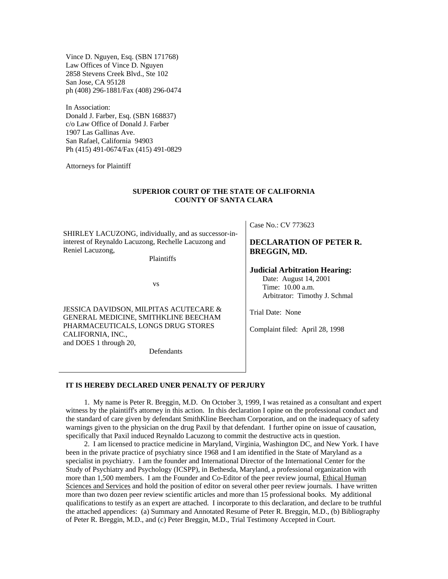Vince D. Nguyen, Esq. (SBN 171768) Law Offices of Vince D. Nguyen 2858 Stevens Creek Blvd., Ste 102 San Jose, CA 95128 ph (408) 296-1881/Fax (408) 296-0474

In Association: Donald J. Farber, Esq. (SBN 168837) c/o Law Office of Donald J. Farber 1907 Las Gallinas Ave. San Rafael, California 94903 Ph (415) 491-0674/Fax (415) 491-0829

Attorneys for Plaintiff

#### **SUPERIOR COURT OF THE STATE OF CALIFORNIA COUNTY OF SANTA CLARA**

SHIRLEY LACUZONG, individually, and as successor-ininterest of Reynaldo Lacuzong, Rechelle Lacuzong and Reniel Lacuzong,

Plaintiffs

vs

JESSICA DAVIDSON, MILPITAS ACUTECARE & GENERAL MEDICINE, SMITHKLINE BEECHAM PHARMACEUTICALS, LONGS DRUG STORES CALIFORNIA, INC., and DOES 1 through 20,

Defendants

Case No.: CV 773623

#### **DECLARATION OF PETER R. BREGGIN, MD.**

#### **Judicial Arbitration Hearing:**

 Date: August 14, 2001 Time: 10.00 a.m. Arbitrator: Timothy J. Schmal

Trial Date: None

Complaint filed: April 28, 1998

#### **IT IS HEREBY DECLARED UNER PENALTY OF PERJURY**

 1. My name is Peter R. Breggin, M.D. On October 3, 1999, I was retained as a consultant and expert witness by the plaintiff's attorney in this action. In this declaration I opine on the professional conduct and the standard of care given by defendant SmithKline Beecham Corporation, and on the inadequacy of safety warnings given to the physician on the drug Paxil by that defendant. I further opine on issue of causation, specifically that Paxil induced Reynaldo Lacuzong to commit the destructive acts in question.

 2. I am licensed to practice medicine in Maryland, Virginia, Washington DC, and New York. I have been in the private practice of psychiatry since 1968 and I am identified in the State of Maryland as a specialist in psychiatry. I am the founder and International Director of the International Center for the Study of Psychiatry and Psychology (ICSPP), in Bethesda, Maryland, a professional organization with more than 1,500 members. I am the Founder and Co-Editor of the peer review journal, Ethical Human Sciences and Services and hold the position of editor on several other peer review journals. I have written more than two dozen peer review scientific articles and more than 15 professional books. My additional qualifications to testify as an expert are attached. I incorporate to this declaration, and declare to be truthful the attached appendices: (a) Summary and Annotated Resume of Peter R. Breggin, M.D., (b) Bibliography of Peter R. Breggin, M.D., and (c) Peter Breggin, M.D., Trial Testimony Accepted in Court.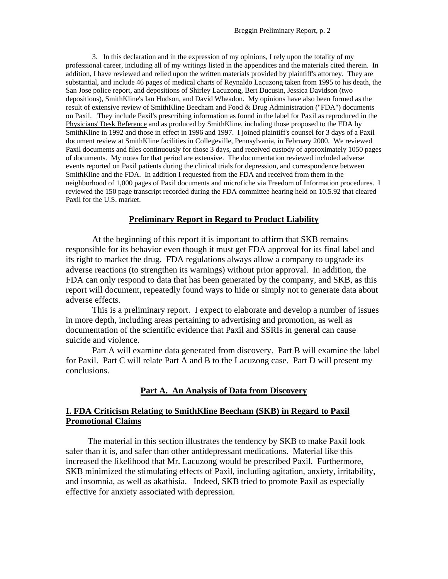3. In this declaration and in the expression of my opinions, I rely upon the totality of my professional career, including all of my writings listed in the appendices and the materials cited therein. In addition, I have reviewed and relied upon the written materials provided by plaintiff's attorney. They are substantial, and include 46 pages of medical charts of Reynaldo Lacuzong taken from 1995 to his death, the San Jose police report, and depositions of Shirley Lacuzong, Bert Ducusin, Jessica Davidson (two depositions), SmithKline's Ian Hudson, and David Wheadon. My opinions have also been formed as the result of extensive review of SmithKline Beecham and Food & Drug Administration ("FDA") documents on Paxil. They include Paxil's prescribing information as found in the label for Paxil as reproduced in the Physicians' Desk Reference and as produced by SmithKline, including those proposed to the FDA by SmithKline in 1992 and those in effect in 1996 and 1997. I joined plaintiff's counsel for 3 days of a Paxil document review at SmithKline facilities in Collegeville, Pennsylvania, in February 2000. We reviewed Paxil documents and files continuously for those 3 days, and received custody of approximately 1050 pages of documents. My notes for that period are extensive. The documentation reviewed included adverse events reported on Paxil patients during the clinical trials for depression, and correspondence between SmithKline and the FDA. In addition I requested from the FDA and received from them in the neighborhood of 1,000 pages of Paxil documents and microfiche via Freedom of Information procedures. I reviewed the 150 page transcript recorded during the FDA committee hearing held on 10.5.92 that cleared Paxil for the U.S. market.

#### **Preliminary Report in Regard to Product Liability**

 At the beginning of this report it is important to affirm that SKB remains responsible for its behavior even though it must get FDA approval for its final label and its right to market the drug. FDA regulations always allow a company to upgrade its adverse reactions (to strengthen its warnings) without prior approval. In addition, the FDA can only respond to data that has been generated by the company, and SKB, as this report will document, repeatedly found ways to hide or simply not to generate data about adverse effects.

 This is a preliminary report. I expect to elaborate and develop a number of issues in more depth, including areas pertaining to advertising and promotion, as well as documentation of the scientific evidence that Paxil and SSRIs in general can cause suicide and violence.

 Part A will examine data generated from discovery. Part B will examine the label for Paxil. Part C will relate Part A and B to the Lacuzong case. Part D will present my conclusions.

#### **Part A. An Analysis of Data from Discovery**

### **I. FDA Criticism Relating to SmithKline Beecham (SKB) in Regard to Paxil Promotional Claims**

 The material in this section illustrates the tendency by SKB to make Paxil look safer than it is, and safer than other antidepressant medications. Material like this increased the likelihood that Mr. Lacuzong would be prescribed Paxil. Furthermore, SKB minimized the stimulating effects of Paxil, including agitation, anxiety, irritability, and insomnia, as well as akathisia. Indeed, SKB tried to promote Paxil as especially effective for anxiety associated with depression.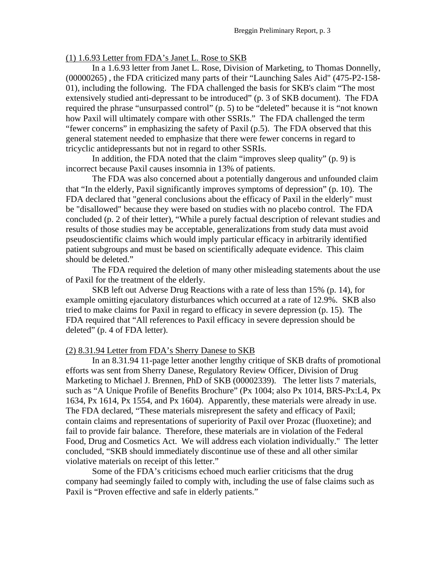#### (1) 1.6.93 Letter from FDA's Janet L. Rose to SKB

In a 1.6.93 letter from Janet L. Rose, Division of Marketing, to Thomas Donnelly, (00000265) , the FDA criticized many parts of their "Launching Sales Aid" (475-P2-158- 01), including the following. The FDA challenged the basis for SKB's claim "The most extensively studied anti-depressant to be introduced" (p. 3 of SKB document). The FDA required the phrase "unsurpassed control" (p. 5) to be "deleted" because it is "not known how Paxil will ultimately compare with other SSRIs." The FDA challenged the term "fewer concerns" in emphasizing the safety of Paxil (p.5). The FDA observed that this general statement needed to emphasize that there were fewer concerns in regard to tricyclic antidepressants but not in regard to other SSRIs.

 In addition, the FDA noted that the claim "improves sleep quality" (p. 9) is incorrect because Paxil causes insomnia in 13% of patients.

The FDA was also concerned about a potentially dangerous and unfounded claim that "In the elderly, Paxil significantly improves symptoms of depression" (p. 10). The FDA declared that "general conclusions about the efficacy of Paxil in the elderly" must be "disallowed" because they were based on studies with no placebo control. The FDA concluded (p. 2 of their letter), "While a purely factual description of relevant studies and results of those studies may be acceptable, generalizations from study data must avoid pseudoscientific claims which would imply particular efficacy in arbitrarily identified patient subgroups and must be based on scientifically adequate evidence. This claim should be deleted."

The FDA required the deletion of many other misleading statements about the use of Paxil for the treatment of the elderly.

SKB left out Adverse Drug Reactions with a rate of less than 15% (p. 14), for example omitting ejaculatory disturbances which occurred at a rate of 12.9%. SKB also tried to make claims for Paxil in regard to efficacy in severe depression (p. 15). The FDA required that "All references to Paxil efficacy in severe depression should be deleted" (p. 4 of FDA letter).

#### (2) 8.31.94 Letter from FDA's Sherry Danese to SKB

In an 8.31.94 11-page letter another lengthy critique of SKB drafts of promotional efforts was sent from Sherry Danese, Regulatory Review Officer, Division of Drug Marketing to Michael J. Brennen, PhD of SKB (00002339). The letter lists 7 materials, such as "A Unique Profile of Benefits Brochure" (Px 1004; also Px 1014, BRS-Px:L4, Px 1634, Px 1614, Px 1554, and Px 1604). Apparently, these materials were already in use. The FDA declared, "These materials misrepresent the safety and efficacy of Paxil; contain claims and representations of superiority of Paxil over Prozac (fluoxetine); and fail to provide fair balance. Therefore, these materials are in violation of the Federal Food, Drug and Cosmetics Act. We will address each violation individually." The letter concluded, "SKB should immediately discontinue use of these and all other similar violative materials on receipt of this letter."

Some of the FDA's criticisms echoed much earlier criticisms that the drug company had seemingly failed to comply with, including the use of false claims such as Paxil is "Proven effective and safe in elderly patients."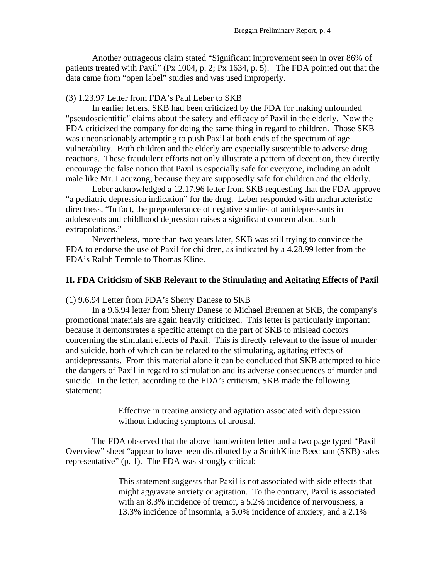Another outrageous claim stated "Significant improvement seen in over 86% of patients treated with Paxil" (Px 1004, p. 2; Px 1634, p. 5). The FDA pointed out that the data came from "open label" studies and was used improperly.

## (3) 1.23.97 Letter from FDA's Paul Leber to SKB

 In earlier letters, SKB had been criticized by the FDA for making unfounded "pseudoscientific" claims about the safety and efficacy of Paxil in the elderly. Now the FDA criticized the company for doing the same thing in regard to children. Those SKB was unconscionably attempting to push Paxil at both ends of the spectrum of age vulnerability. Both children and the elderly are especially susceptible to adverse drug reactions. These fraudulent efforts not only illustrate a pattern of deception, they directly encourage the false notion that Paxil is especially safe for everyone, including an adult male like Mr. Lacuzong, because they are supposedly safe for children and the elderly.

 Leber acknowledged a 12.17.96 letter from SKB requesting that the FDA approve "a pediatric depression indication" for the drug. Leber responded with uncharacteristic directness, "In fact, the preponderance of negative studies of antidepressants in adolescents and childhood depression raises a significant concern about such extrapolations."

 Nevertheless, more than two years later, SKB was still trying to convince the FDA to endorse the use of Paxil for children, as indicated by a 4.28.99 letter from the FDA's Ralph Temple to Thomas Kline.

## **II. FDA Criticism of SKB Relevant to the Stimulating and Agitating Effects of Paxil**

#### (1) 9.6.94 Letter from FDA's Sherry Danese to SKB

 In a 9.6.94 letter from Sherry Danese to Michael Brennen at SKB, the company's promotional materials are again heavily criticized. This letter is particularly important because it demonstrates a specific attempt on the part of SKB to mislead doctors concerning the stimulant effects of Paxil. This is directly relevant to the issue of murder and suicide, both of which can be related to the stimulating, agitating effects of antidepressants. From this material alone it can be concluded that SKB attempted to hide the dangers of Paxil in regard to stimulation and its adverse consequences of murder and suicide. In the letter, according to the FDA's criticism, SKB made the following statement:

> Effective in treating anxiety and agitation associated with depression without inducing symptoms of arousal.

 The FDA observed that the above handwritten letter and a two page typed "Paxil Overview" sheet "appear to have been distributed by a SmithKline Beecham (SKB) sales representative" (p. 1). The FDA was strongly critical:

> This statement suggests that Paxil is not associated with side effects that might aggravate anxiety or agitation. To the contrary, Paxil is associated with an 8.3% incidence of tremor, a 5.2% incidence of nervousness, a 13.3% incidence of insomnia, a 5.0% incidence of anxiety, and a 2.1%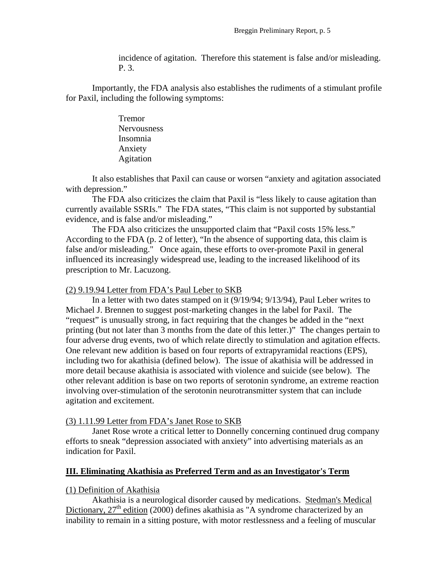incidence of agitation. Therefore this statement is false and/or misleading. P. 3.

 Importantly, the FDA analysis also establishes the rudiments of a stimulant profile for Paxil, including the following symptoms:

> Tremor Nervousness Insomnia Anxiety Agitation

 It also establishes that Paxil can cause or worsen "anxiety and agitation associated with depression."

 The FDA also criticizes the claim that Paxil is "less likely to cause agitation than currently available SSRIs." The FDA states, "This claim is not supported by substantial evidence, and is false and/or misleading."

 The FDA also criticizes the unsupported claim that "Paxil costs 15% less." According to the FDA (p. 2 of letter), "In the absence of supporting data, this claim is false and/or misleading." Once again, these efforts to over-promote Paxil in general influenced its increasingly widespread use, leading to the increased likelihood of its prescription to Mr. Lacuzong.

#### (2) 9.19.94 Letter from FDA's Paul Leber to SKB

 In a letter with two dates stamped on it (9/19/94; 9/13/94), Paul Leber writes to Michael J. Brennen to suggest post-marketing changes in the label for Paxil. The "request" is unusually strong, in fact requiring that the changes be added in the "next printing (but not later than 3 months from the date of this letter.)" The changes pertain to four adverse drug events, two of which relate directly to stimulation and agitation effects. One relevant new addition is based on four reports of extrapyramidal reactions (EPS), including two for akathisia (defined below). The issue of akathisia will be addressed in more detail because akathisia is associated with violence and suicide (see below). The other relevant addition is base on two reports of serotonin syndrome, an extreme reaction involving over-stimulation of the serotonin neurotransmitter system that can include agitation and excitement.

#### (3) 1.11.99 Letter from FDA's Janet Rose to SKB

 Janet Rose wrote a critical letter to Donnelly concerning continued drug company efforts to sneak "depression associated with anxiety" into advertising materials as an indication for Paxil.

#### **III. Eliminating Akathisia as Preferred Term and as an Investigator's Term**

#### (1) Definition of Akathisia

Akathisia is a neurological disorder caused by medications. Stedman's Medical Dictionary,  $27<sup>th</sup>$  edition (2000) defines akathisia as "A syndrome characterized by an inability to remain in a sitting posture, with motor restlessness and a feeling of muscular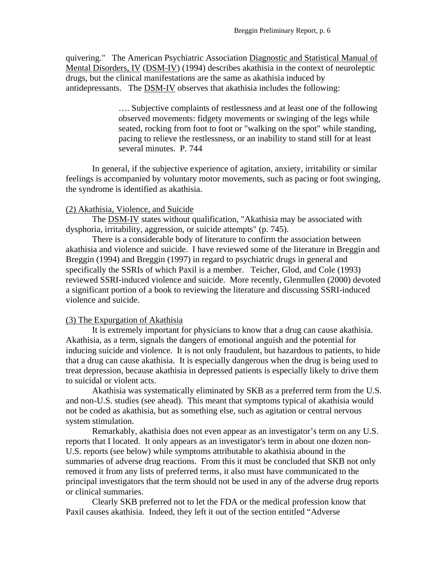quivering." The American Psychiatric Association Diagnostic and Statistical Manual of Mental Disorders, IV (DSM-IV) (1994) describes akathisia in the context of neuroleptic drugs, but the clinical manifestations are the same as akathisia induced by antidepressants. The DSM-IV observes that akathisia includes the following:

> …. Subjective complaints of restlessness and at least one of the following observed movements: fidgety movements or swinging of the legs while seated, rocking from foot to foot or "walking on the spot" while standing, pacing to relieve the restlessness, or an inability to stand still for at least several minutes. P. 744

 In general, if the subjective experience of agitation, anxiety, irritability or similar feelings is accompanied by voluntary motor movements, such as pacing or foot swinging, the syndrome is identified as akathisia.

### (2) Akathisia, Violence, and Suicide

 The DSM-IV states without qualification, "Akathisia may be associated with dysphoria, irritability, aggression, or suicide attempts" (p. 745).

There is a considerable body of literature to confirm the association between akathisia and violence and suicide. I have reviewed some of the literature in Breggin and Breggin (1994) and Breggin (1997) in regard to psychiatric drugs in general and specifically the SSRIs of which Paxil is a member. Teicher, Glod, and Cole (1993) reviewed SSRI-induced violence and suicide. More recently, Glenmullen (2000) devoted a significant portion of a book to reviewing the literature and discussing SSRI-induced violence and suicide.

#### (3) The Expurgation of Akathisia

It is extremely important for physicians to know that a drug can cause akathisia. Akathisia, as a term, signals the dangers of emotional anguish and the potential for inducing suicide and violence. It is not only fraudulent, but hazardous to patients, to hide that a drug can cause akathisia. It is especially dangerous when the drug is being used to treat depression, because akathisia in depressed patients is especially likely to drive them to suicidal or violent acts.

 Akathisia was systematically eliminated by SKB as a preferred term from the U.S. and non-U.S. studies (see ahead). This meant that symptoms typical of akathisia would not be coded as akathisia, but as something else, such as agitation or central nervous system stimulation.

Remarkably, akathisia does not even appear as an investigator's term on any U.S. reports that I located. It only appears as an investigator's term in about one dozen non-U.S. reports (see below) while symptoms attributable to akathisia abound in the summaries of adverse drug reactions. From this it must be concluded that SKB not only removed it from any lists of preferred terms, it also must have communicated to the principal investigators that the term should not be used in any of the adverse drug reports or clinical summaries.

 Clearly SKB preferred not to let the FDA or the medical profession know that Paxil causes akathisia. Indeed, they left it out of the section entitled "Adverse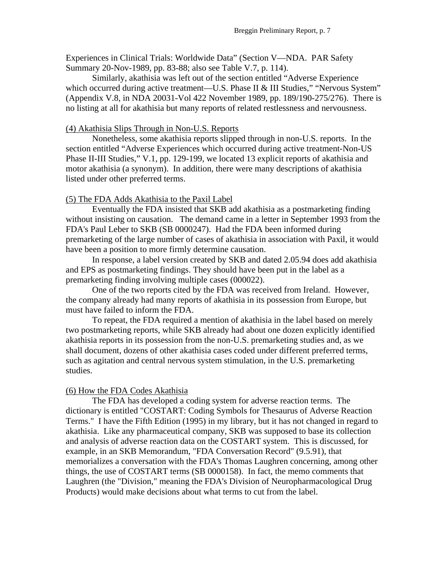Experiences in Clinical Trials: Worldwide Data" (Section V—NDA. PAR Safety Summary 20-Nov-1989, pp. 83-88; also see Table V.7, p. 114).

 Similarly, akathisia was left out of the section entitled "Adverse Experience which occurred during active treatment—U.S. Phase II & III Studies," "Nervous System" (Appendix V.8, in NDA 20031-Vol 422 November 1989, pp. 189/190-275/276). There is no listing at all for akathisia but many reports of related restlessness and nervousness.

### (4) Akathisia Slips Through in Non-U.S. Reports

Nonetheless, some akathisia reports slipped through in non-U.S. reports. In the section entitled "Adverse Experiences which occurred during active treatment-Non-US Phase II-III Studies," V.1, pp. 129-199, we located 13 explicit reports of akathisia and motor akathisia (a synonym). In addition, there were many descriptions of akathisia listed under other preferred terms.

#### (5) The FDA Adds Akathisia to the Paxil Label

Eventually the FDA insisted that SKB add akathisia as a postmarketing finding without insisting on causation. The demand came in a letter in September 1993 from the FDA's Paul Leber to SKB (SB 0000247). Had the FDA been informed during premarketing of the large number of cases of akathisia in association with Paxil, it would have been a position to more firmly determine causation.

 In response, a label version created by SKB and dated 2.05.94 does add akathisia and EPS as postmarketing findings. They should have been put in the label as a premarketing finding involving multiple cases (000022).

One of the two reports cited by the FDA was received from Ireland. However, the company already had many reports of akathisia in its possession from Europe, but must have failed to inform the FDA.

To repeat, the FDA required a mention of akathisia in the label based on merely two postmarketing reports, while SKB already had about one dozen explicitly identified akathisia reports in its possession from the non-U.S. premarketing studies and, as we shall document, dozens of other akathisia cases coded under different preferred terms, such as agitation and central nervous system stimulation, in the U.S. premarketing studies.

#### (6) How the FDA Codes Akathisia

The FDA has developed a coding system for adverse reaction terms. The dictionary is entitled "COSTART: Coding Symbols for Thesaurus of Adverse Reaction Terms." I have the Fifth Edition (1995) in my library, but it has not changed in regard to akathisia. Like any pharmaceutical company, SKB was supposed to base its collection and analysis of adverse reaction data on the COSTART system. This is discussed, for example, in an SKB Memorandum, "FDA Conversation Record" (9.5.91), that memorializes a conversation with the FDA's Thomas Laughren concerning, among other things, the use of COSTART terms (SB 0000158). In fact, the memo comments that Laughren (the "Division," meaning the FDA's Division of Neuropharmacological Drug Products) would make decisions about what terms to cut from the label.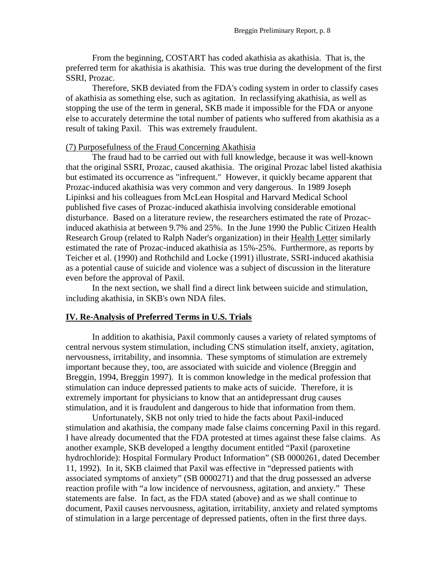From the beginning, COSTART has coded akathisia as akathisia. That is, the preferred term for akathisia is akathisia. This was true during the development of the first SSRI, Prozac.

 Therefore, SKB deviated from the FDA's coding system in order to classify cases of akathisia as something else, such as agitation. In reclassifying akathisia, as well as stopping the use of the term in general, SKB made it impossible for the FDA or anyone else to accurately determine the total number of patients who suffered from akathisia as a result of taking Paxil. This was extremely fraudulent.

## (7) Purposefulness of the Fraud Concerning Akathisia

 The fraud had to be carried out with full knowledge, because it was well-known that the original SSRI, Prozac, caused akathisia. The original Prozac label listed akathisia but estimated its occurrence as "infrequent." However, it quickly became apparent that Prozac-induced akathisia was very common and very dangerous. In 1989 Joseph Lipinksi and his colleagues from McLean Hospital and Harvard Medical School published five cases of Prozac-induced akathisia involving considerable emotional disturbance. Based on a literature review, the researchers estimated the rate of Prozacinduced akathisia at between 9.7% and 25%. In the June 1990 the Public Citizen Health Research Group (related to Ralph Nader's organization) in their Health Letter similarly estimated the rate of Prozac-induced akathisia as 15%-25%. Furthermore, as reports by Teicher et al. (1990) and Rothchild and Locke (1991) illustrate, SSRI-induced akathisia as a potential cause of suicide and violence was a subject of discussion in the literature even before the approval of Paxil.

 In the next section, we shall find a direct link between suicide and stimulation, including akathisia, in SKB's own NDA files.

#### **IV. Re-Analysis of Preferred Terms in U.S. Trials**

 In addition to akathisia, Paxil commonly causes a variety of related symptoms of central nervous system stimulation, including CNS stimulation itself, anxiety, agitation, nervousness, irritability, and insomnia. These symptoms of stimulation are extremely important because they, too, are associated with suicide and violence (Breggin and Breggin, 1994, Breggin 1997). It is common knowledge in the medical profession that stimulation can induce depressed patients to make acts of suicide. Therefore, it is extremely important for physicians to know that an antidepressant drug causes stimulation, and it is fraudulent and dangerous to hide that information from them.

Unfortunately, SKB not only tried to hide the facts about Paxil-induced stimulation and akathisia, the company made false claims concerning Paxil in this regard. I have already documented that the FDA protested at times against these false claims. As another example, SKB developed a lengthy document entitled "Paxil (paroxetine hydrochloride): Hospital Formulary Product Information" (SB 0000261, dated December 11, 1992). In it, SKB claimed that Paxil was effective in "depressed patients with associated symptoms of anxiety" (SB 0000271) and that the drug possessed an adverse reaction profile with "a low incidence of nervousness, agitation, and anxiety." These statements are false. In fact, as the FDA stated (above) and as we shall continue to document, Paxil causes nervousness, agitation, irritability, anxiety and related symptoms of stimulation in a large percentage of depressed patients, often in the first three days.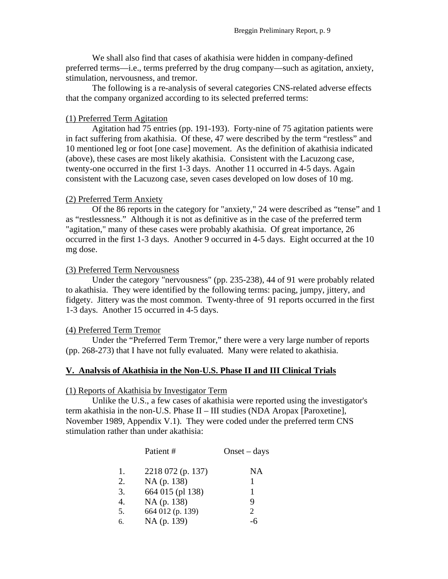We shall also find that cases of akathisia were hidden in company-defined preferred terms—i.e., terms preferred by the drug company—such as agitation, anxiety, stimulation, nervousness, and tremor.

The following is a re-analysis of several categories CNS-related adverse effects that the company organized according to its selected preferred terms:

#### (1) Preferred Term Agitation

Agitation had 75 entries (pp. 191-193). Forty-nine of 75 agitation patients were in fact suffering from akathisia. Of these, 47 were described by the term "restless" and 10 mentioned leg or foot [one case] movement. As the definition of akathisia indicated (above), these cases are most likely akathisia. Consistent with the Lacuzong case, twenty-one occurred in the first 1-3 days. Another 11 occurred in 4-5 days. Again consistent with the Lacuzong case, seven cases developed on low doses of 10 mg.

#### (2) Preferred Term Anxiety

Of the 86 reports in the category for "anxiety," 24 were described as "tense" and 1 as "restlessness." Although it is not as definitive as in the case of the preferred term "agitation," many of these cases were probably akathisia. Of great importance, 26 occurred in the first 1-3 days. Another 9 occurred in 4-5 days. Eight occurred at the 10 mg dose.

#### (3) Preferred Term Nervousness

 Under the category "nervousness" (pp. 235-238), 44 of 91 were probably related to akathisia. They were identified by the following terms: pacing, jumpy, jittery, and fidgety. Jittery was the most common. Twenty-three of 91 reports occurred in the first 1-3 days. Another 15 occurred in 4-5 days.

#### (4) Preferred Term Tremor

Under the "Preferred Term Tremor," there were a very large number of reports (pp. 268-273) that I have not fully evaluated. Many were related to akathisia.

## **V. Analysis of Akathisia in the Non-U.S. Phase II and III Clinical Trials**

#### (1) Reports of Akathisia by Investigator Term

Unlike the U.S., a few cases of akathisia were reported using the investigator's term akathisia in the non-U.S. Phase II – III studies (NDA Aropax [Paroxetine], November 1989, Appendix V.1). They were coded under the preferred term CNS stimulation rather than under akathisia:

|    | Patient #         | $Onset - days$        |
|----|-------------------|-----------------------|
| 1. | 2218 072 (p. 137) | NA                    |
| 2. | NA (p. 138)       |                       |
| 3. | 664 015 (pl 138)  |                       |
| 4. | NA (p. 138)       | 9                     |
| 5. | 664 012 (p. 139)  | $\mathcal{D}_{\cdot}$ |
| 6. | NA (p. 139)       |                       |
|    |                   |                       |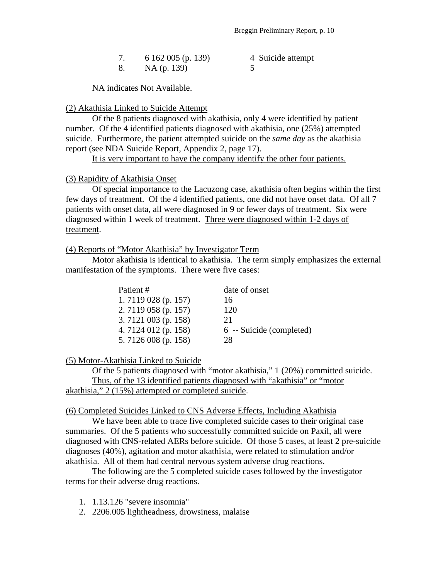|  | 6 162 005 (p. 139) | 4 Suicide attempt |
|--|--------------------|-------------------|
|  | NA (p. 139)        |                   |

NA indicates Not Available.

#### (2) Akathisia Linked to Suicide Attempt

Of the 8 patients diagnosed with akathisia, only 4 were identified by patient number. Of the 4 identified patients diagnosed with akathisia, one (25%) attempted suicide. Furthermore, the patient attempted suicide on the *same day* as the akathisia report (see NDA Suicide Report, Appendix 2, page 17).

It is very important to have the company identify the other four patients.

#### (3) Rapidity of Akathisia Onset

 Of special importance to the Lacuzong case, akathisia often begins within the first few days of treatment. Of the 4 identified patients, one did not have onset data. Of all 7 patients with onset data, all were diagnosed in 9 or fewer days of treatment. Six were diagnosed within 1 week of treatment. Three were diagnosed within 1-2 days of treatment.

#### (4) Reports of "Motor Akathisia" by Investigator Term

 Motor akathisia is identical to akathisia. The term simply emphasizes the external manifestation of the symptoms. There were five cases:

| Patient #            | date of onset            |
|----------------------|--------------------------|
| 1.7119 028 (p. 157)  | 16                       |
| 2.7119 058 (p. 157)  | 120                      |
| 3.7121 003 (p. 158)  | 21                       |
| 4. 7124 012 (p. 158) | 6 -- Suicide (completed) |
| 5.7126 008 (p. 158)  | 28                       |

#### (5) Motor-Akathisia Linked to Suicide

Of the 5 patients diagnosed with "motor akathisia," 1 (20%) committed suicide. Thus, of the 13 identified patients diagnosed with "akathisia" or "motor akathisia," 2 (15%) attempted or completed suicide.

#### (6) Completed Suicides Linked to CNS Adverse Effects, Including Akathisia

We have been able to trace five completed suicide cases to their original case summaries. Of the 5 patients who successfully committed suicide on Paxil, all were diagnosed with CNS-related AERs before suicide. Of those 5 cases, at least 2 pre-suicide diagnoses (40%), agitation and motor akathisia, were related to stimulation and/or akathisia. All of them had central nervous system adverse drug reactions.

 The following are the 5 completed suicide cases followed by the investigator terms for their adverse drug reactions.

- 1. 1.13.126 "severe insomnia"
- 2. 2206.005 lightheadness, drowsiness, malaise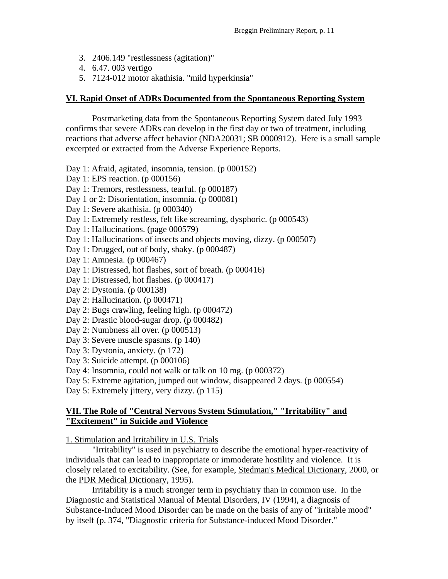- 3. 2406.149 "restlessness (agitation)"
- 4. 6.47. 003 vertigo
- 5. 7124-012 motor akathisia. "mild hyperkinsia"

## **VI. Rapid Onset of ADRs Documented from the Spontaneous Reporting System**

 Postmarketing data from the Spontaneous Reporting System dated July 1993 confirms that severe ADRs can develop in the first day or two of treatment, including reactions that adverse affect behavior (NDA20031; SB 0000912). Here is a small sample excerpted or extracted from the Adverse Experience Reports.

Day 1: Afraid, agitated, insomnia, tension. (p 000152)

- Day 1: EPS reaction. (p 000156)
- Day 1: Tremors, restlessness, tearful. (p 000187)
- Day 1 or 2: Disorientation, insomnia. (p 000081)
- Day 1: Severe akathisia. (p 000340)
- Day 1: Extremely restless, felt like screaming, dysphoric. (p 000543)
- Day 1: Hallucinations. (page 000579)
- Day 1: Hallucinations of insects and objects moving, dizzy. (p 000507)
- Day 1: Drugged, out of body, shaky. (p 000487)
- Day 1: Amnesia. (p 000467)
- Day 1: Distressed, hot flashes, sort of breath. (p 000416)
- Day 1: Distressed, hot flashes. (p 000417)
- Day 2: Dystonia. (p 000138)
- Day 2: Hallucination. (p 000471)
- Day 2: Bugs crawling, feeling high. (p 000472)
- Day 2: Drastic blood-sugar drop. (p 000482)
- Day 2: Numbness all over. (p 000513)
- Day 3: Severe muscle spasms. (p 140)
- Day 3: Dystonia, anxiety. (p 172)
- Day 3: Suicide attempt. (p 000106)
- Day 4: Insomnia, could not walk or talk on 10 mg. (p 000372)
- Day 5: Extreme agitation, jumped out window, disappeared 2 days. (p 000554)
- Day 5: Extremely jittery, very dizzy. (p 115)

## **VII. The Role of "Central Nervous System Stimulation," "Irritability" and "Excitement" in Suicide and Violence**

1. Stimulation and Irritability in U.S. Trials

 "Irritability" is used in psychiatry to describe the emotional hyper-reactivity of individuals that can lead to inappropriate or immoderate hostility and violence. It is closely related to excitability. (See, for example, Stedman's Medical Dictionary, 2000, or the PDR Medical Dictionary, 1995).

Irritability is a much stronger term in psychiatry than in common use. In the Diagnostic and Statistical Manual of Mental Disorders, IV (1994), a diagnosis of Substance-Induced Mood Disorder can be made on the basis of any of "irritable mood" by itself (p. 374, "Diagnostic criteria for Substance-induced Mood Disorder."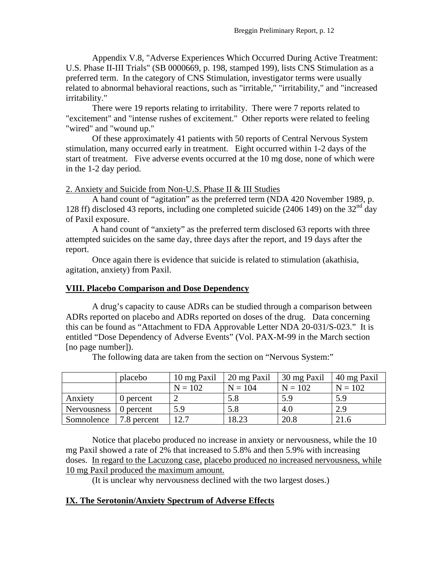Appendix V.8, "Adverse Experiences Which Occurred During Active Treatment: U.S. Phase II-III Trials" (SB 0000669, p. 198, stamped 199), lists CNS Stimulation as a preferred term. In the category of CNS Stimulation, investigator terms were usually related to abnormal behavioral reactions, such as "irritable," "irritability," and "increased irritability."

There were 19 reports relating to irritability. There were 7 reports related to "excitement" and "intense rushes of excitement." Other reports were related to feeling "wired" and "wound up."

Of these approximately 41 patients with 50 reports of Central Nervous System stimulation, many occurred early in treatment. Eight occurred within 1-2 days of the start of treatment. Five adverse events occurred at the 10 mg dose, none of which were in the 1-2 day period.

2. Anxiety and Suicide from Non-U.S. Phase II & III Studies

 A hand count of "agitation" as the preferred term (NDA 420 November 1989, p. 128 ff) disclosed 43 reports, including one completed suicide (2406 149) on the 32nd day of Paxil exposure.

A hand count of "anxiety" as the preferred term disclosed 63 reports with three attempted suicides on the same day, three days after the report, and 19 days after the report.

 Once again there is evidence that suicide is related to stimulation (akathisia, agitation, anxiety) from Paxil.

#### **VIII. Placebo Comparison and Dose Dependency**

A drug's capacity to cause ADRs can be studied through a comparison between ADRs reported on placebo and ADRs reported on doses of the drug. Data concerning this can be found as "Attachment to FDA Approvable Letter NDA 20-031/S-023." It is entitled "Dose Dependency of Adverse Events" (Vol. PAX-M-99 in the March section [no page number]).

|             | placebo     | 10 mg Paxil | 20 mg Paxil | 30 mg Paxil | 40 mg Paxil |
|-------------|-------------|-------------|-------------|-------------|-------------|
|             |             | $N = 102$   | $N = 104$   | $N = 102$   | $N = 102$   |
| Anxiety     | 0 percent   |             | 5.8         | 5.9         | 5.9         |
| Nervousness | 0 percent   | 5.9         | 5.8         | 4.0         | 2.9         |
| Somnolence  | 7.8 percent | 12.7        | 18.23       | 20.8        | 21.6        |

The following data are taken from the section on "Nervous System:"

Notice that placebo produced no increase in anxiety or nervousness, while the 10 mg Paxil showed a rate of 2% that increased to 5.8% and then 5.9% with increasing doses. In regard to the Lacuzong case, placebo produced no increased nervousness, while 10 mg Paxil produced the maximum amount.

(It is unclear why nervousness declined with the two largest doses.)

## **IX. The Serotonin/Anxiety Spectrum of Adverse Effects**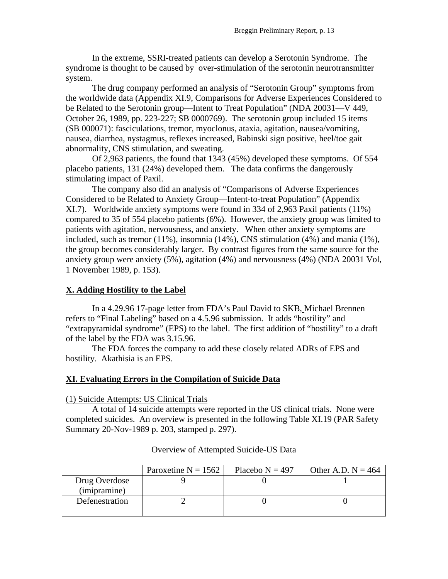In the extreme, SSRI-treated patients can develop a Serotonin Syndrome. The syndrome is thought to be caused by over-stimulation of the serotonin neurotransmitter system.

The drug company performed an analysis of "Serotonin Group" symptoms from the worldwide data (Appendix XI.9, Comparisons for Adverse Experiences Considered to be Related to the Serotonin group—Intent to Treat Population" (NDA 20031—V 449, October 26, 1989, pp. 223-227; SB 0000769). The serotonin group included 15 items (SB 000071): fasciculations, tremor, myoclonus, ataxia, agitation, nausea/vomiting, nausea, diarrhea, nystagmus, reflexes increased, Babinski sign positive, heel/toe gait abnormality, CNS stimulation, and sweating.

Of 2,963 patients, the found that 1343 (45%) developed these symptoms. Of 554 placebo patients, 131 (24%) developed them. The data confirms the dangerously stimulating impact of Paxil.

 The company also did an analysis of "Comparisons of Adverse Experiences Considered to be Related to Anxiety Group—Intent-to-treat Population" (Appendix XI.7). Worldwide anxiety symptoms were found in 334 of 2,963 Paxil patients (11%) compared to 35 of 554 placebo patients (6%). However, the anxiety group was limited to patients with agitation, nervousness, and anxiety. When other anxiety symptoms are included, such as tremor (11%), insomnia (14%), CNS stimulation (4%) and mania (1%), the group becomes considerably larger. By contrast figures from the same source for the anxiety group were anxiety (5%), agitation (4%) and nervousness (4%) (NDA 20031 Vol, 1 November 1989, p. 153).

## **X. Adding Hostility to the Label**

In a 4.29.96 17-page letter from FDA's Paul David to SKB, Michael Brennen refers to "Final Labeling" based on a 4.5.96 submission. It adds "hostility" and "extrapyramidal syndrome" (EPS) to the label. The first addition of "hostility" to a draft of the label by the FDA was 3.15.96.

 The FDA forces the company to add these closely related ADRs of EPS and hostility. Akathisia is an EPS.

## **XI. Evaluating Errors in the Compilation of Suicide Data**

(1) Suicide Attempts: US Clinical Trials

 A total of 14 suicide attempts were reported in the US clinical trials. None were completed suicides. An overview is presented in the following Table XI.19 (PAR Safety Summary 20-Nov-1989 p. 203, stamped p. 297).

|                               | Paroxetine $N = 1562$ | Placebo $N = 497$ | Other A.D. $N = 464$ |
|-------------------------------|-----------------------|-------------------|----------------------|
| Drug Overdose<br>(imipramine) |                       |                   |                      |
| Defenestration                |                       |                   |                      |
|                               |                       |                   |                      |

## Overview of Attempted Suicide-US Data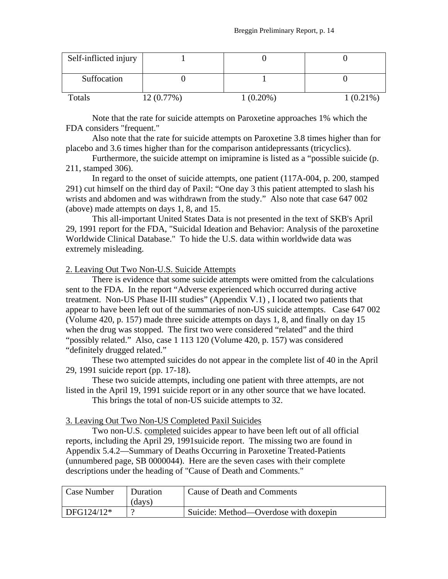| Self-inflicted injury |           |             |             |
|-----------------------|-----------|-------------|-------------|
| Suffocation           |           |             |             |
| Totals                | 12(0.77%) | $1(0.20\%)$ | $1(0.21\%)$ |

Note that the rate for suicide attempts on Paroxetine approaches 1% which the FDA considers "frequent."

 Also note that the rate for suicide attempts on Paroxetine 3.8 times higher than for placebo and 3.6 times higher than for the comparison antidepressants (tricyclics).

 Furthermore, the suicide attempt on imipramine is listed as a "possible suicide (p. 211, stamped 306).

 In regard to the onset of suicide attempts, one patient (117A-004, p. 200, stamped 291) cut himself on the third day of Paxil: "One day 3 this patient attempted to slash his wrists and abdomen and was withdrawn from the study." Also note that case 647 002 (above) made attempts on days 1, 8, and 15.

 This all-important United States Data is not presented in the text of SKB's April 29, 1991 report for the FDA, "Suicidal Ideation and Behavior: Analysis of the paroxetine Worldwide Clinical Database." To hide the U.S. data within worldwide data was extremely misleading.

### 2. Leaving Out Two Non-U.S. Suicide Attempts

 There is evidence that some suicide attempts were omitted from the calculations sent to the FDA. In the report "Adverse experienced which occurred during active treatment. Non-US Phase II-III studies" (Appendix V.1) , I located two patients that appear to have been left out of the summaries of non-US suicide attempts. Case 647 002 (Volume 420, p. 157) made three suicide attempts on days 1, 8, and finally on day 15 when the drug was stopped. The first two were considered "related" and the third "possibly related." Also, case 1 113 120 (Volume 420, p. 157) was considered "definitely drugged related."

 These two attempted suicides do not appear in the complete list of 40 in the April 29, 1991 suicide report (pp. 17-18).

 These two suicide attempts, including one patient with three attempts, are not listed in the April 19, 1991 suicide report or in any other source that we have located.

This brings the total of non-US suicide attempts to 32.

#### 3. Leaving Out Two Non-US Completed Paxil Suicides

 Two non-U.S. completed suicides appear to have been left out of all official reports, including the April 29, 1991suicide report. The missing two are found in Appendix 5.4.2—Summary of Deaths Occurring in Paroxetine Treated-Patients (unnumbered page, SB 0000044). Here are the seven cases with their complete descriptions under the heading of "Cause of Death and Comments."

| Case Number | Duration<br>(davs) | Cause of Death and Comments           |
|-------------|--------------------|---------------------------------------|
| DFG124/12*  |                    | Suicide: Method—Overdose with doxepin |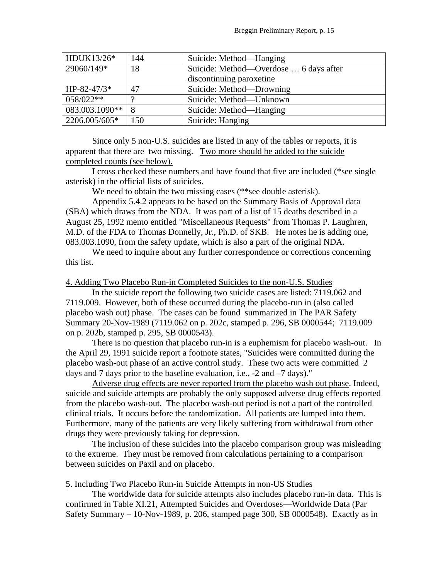| HDUK13/26*     | 144 | Suicide: Method—Hanging                |
|----------------|-----|----------------------------------------|
| 29060/149*     | 18  | Suicide: Method—Overdose  6 days after |
|                |     | discontinuing paroxetine               |
| $HP-82-47/3*$  | 47  | Suicide: Method—Drowning               |
| 058/022**      | റ   | Suicide: Method-Unknown                |
| 083.003.1090** | 8   | Suicide: Method—Hanging                |
| 2206.005/605*  | 150 | Suicide: Hanging                       |

 Since only 5 non-U.S. suicides are listed in any of the tables or reports, it is apparent that there are two missing. Two more should be added to the suicide completed counts (see below).

I cross checked these numbers and have found that five are included (\*see single asterisk) in the official lists of suicides.

We need to obtain the two missing cases (\*\*see double asterisk).

Appendix 5.4.2 appears to be based on the Summary Basis of Approval data (SBA) which draws from the NDA. It was part of a list of 15 deaths described in a August 25, 1992 memo entitled "Miscellaneous Requests" from Thomas P. Laughren, M.D. of the FDA to Thomas Donnelly, Jr., Ph.D. of SKB. He notes he is adding one, 083.003.1090, from the safety update, which is also a part of the original NDA.

We need to inquire about any further correspondence or corrections concerning this list.

#### 4. Adding Two Placebo Run-in Completed Suicides to the non-U.S. Studies

 In the suicide report the following two suicide cases are listed: 7119.062 and 7119.009. However, both of these occurred during the placebo-run in (also called placebo wash out) phase. The cases can be found summarized in The PAR Safety Summary 20-Nov-1989 (7119.062 on p. 202c, stamped p. 296, SB 0000544; 7119.009 on p. 202b, stamped p. 295, SB 0000543).

 There is no question that placebo run-in is a euphemism for placebo wash-out. In the April 29, 1991 suicide report a footnote states, "Suicides were committed during the placebo wash-out phase of an active control study. These two acts were committed 2 days and 7 days prior to the baseline evaluation, i.e., -2 and –7 days)."

 Adverse drug effects are never reported from the placebo wash out phase. Indeed, suicide and suicide attempts are probably the only supposed adverse drug effects reported from the placebo wash-out. The placebo wash-out period is not a part of the controlled clinical trials. It occurs before the randomization. All patients are lumped into them. Furthermore, many of the patients are very likely suffering from withdrawal from other drugs they were previously taking for depression.

 The inclusion of these suicides into the placebo comparison group was misleading to the extreme. They must be removed from calculations pertaining to a comparison between suicides on Paxil and on placebo.

5. Including Two Placebo Run-in Suicide Attempts in non-US Studies

 The worldwide data for suicide attempts also includes placebo run-in data. This is confirmed in Table XI.21, Attempted Suicides and Overdoses—Worldwide Data (Par Safety Summary – 10-Nov-1989, p. 206, stamped page 300, SB 0000548). Exactly as in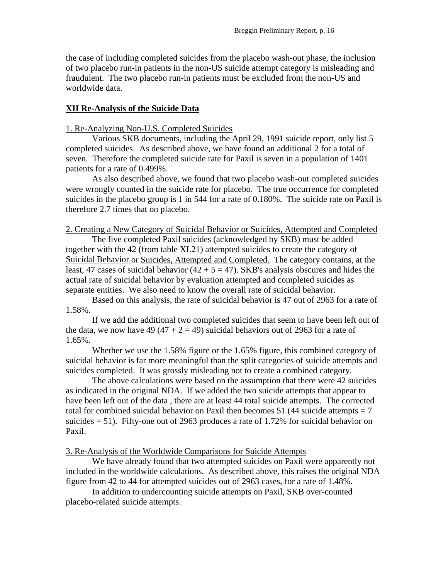the case of including completed suicides from the placebo wash-out phase, the inclusion of two placebo run-in patients in the non-US suicide attempt category is misleading and fraudulent. The two placebo run-in patients must be excluded from the non-US and worldwide data.

#### **XII Re-Analysis of the Suicide Data**

### 1. Re-Analyzing Non-U.S. Completed Suicides

 Various SKB documents, including the April 29, 1991 suicide report, only list 5 completed suicides. As described above, we have found an additional 2 for a total of seven. Therefore the completed suicide rate for Paxil is seven in a population of 1401 patients for a rate of 0.499%.

As also described above, we found that two placebo wash-out completed suicides were wrongly counted in the suicide rate for placebo. The true occurrence for completed suicides in the placebo group is 1 in 544 for a rate of 0.180%. The suicide rate on Paxil is therefore 2.7 times that on placebo.

#### 2. Creating a New Category of Suicidal Behavior or Suicides, Attempted and Completed

The five completed Paxil suicides (acknowledged by SKB) must be added together with the 42 (from table XI.21) attempted suicides to create the category of Suicidal Behavior or Suicides, Attempted and Completed. The category contains, at the least, 47 cases of suicidal behavior  $(42 + 5 = 47)$ . SKB's analysis obscures and hides the actual rate of suicidal behavior by evaluation attempted and completed suicides as separate entities. We also need to know the overall rate of suicidal behavior.

Based on this analysis, the rate of suicidal behavior is 47 out of 2963 for a rate of 1.58%.

If we add the additional two completed suicides that seem to have been left out of the data, we now have 49 (47 + 2 = 49) suicidal behaviors out of 2963 for a rate of 1.65%.

Whether we use the 1.58% figure or the 1.65% figure, this combined category of suicidal behavior is far more meaningful than the split categories of suicide attempts and suicides completed. It was grossly misleading not to create a combined category.

The above calculations were based on the assumption that there were 42 suicides as indicated in the original NDA. If we added the two suicide attempts that appear to have been left out of the data , there are at least 44 total suicide attempts. The corrected total for combined suicidal behavior on Paxil then becomes 51 (44 suicide attempts  $= 7$ ) suicides  $= 51$ ). Fifty-one out of 2963 produces a rate of 1.72% for suicidal behavior on Paxil.

#### 3. Re-Analysis of the Worldwide Comparisons for Suicide Attempts

We have already found that two attempted suicides on Paxil were apparently not included in the worldwide calculations. As described above, this raises the original NDA figure from 42 to 44 for attempted suicides out of 2963 cases, for a rate of 1.48%.

In addition to undercounting suicide attempts on Paxil, SKB over-counted placebo-related suicide attempts.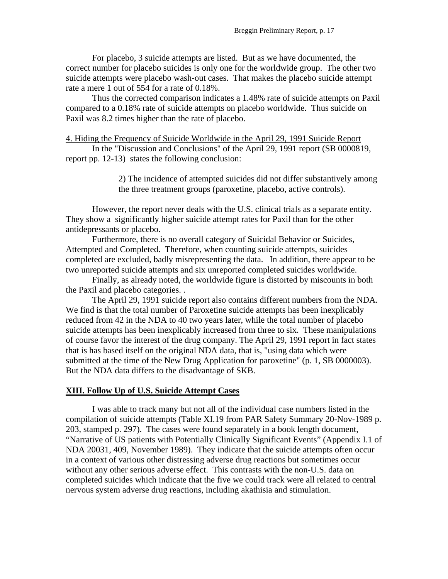For placebo, 3 suicide attempts are listed. But as we have documented, the correct number for placebo suicides is only one for the worldwide group. The other two suicide attempts were placebo wash-out cases. That makes the placebo suicide attempt rate a mere 1 out of 554 for a rate of 0.18%.

 Thus the corrected comparison indicates a 1.48% rate of suicide attempts on Paxil compared to a 0.18% rate of suicide attempts on placebo worldwide. Thus suicide on Paxil was 8.2 times higher than the rate of placebo.

#### 4. Hiding the Frequency of Suicide Worldwide in the April 29, 1991 Suicide Report

 In the "Discussion and Conclusions" of the April 29, 1991 report (SB 0000819, report pp. 12-13) states the following conclusion:

> 2) The incidence of attempted suicides did not differ substantively among the three treatment groups (paroxetine, placebo, active controls).

However, the report never deals with the U.S. clinical trials as a separate entity. They show a significantly higher suicide attempt rates for Paxil than for the other antidepressants or placebo.

Furthermore, there is no overall category of Suicidal Behavior or Suicides, Attempted and Completed. Therefore, when counting suicide attempts, suicides completed are excluded, badly misrepresenting the data. In addition, there appear to be two unreported suicide attempts and six unreported completed suicides worldwide.

Finally, as already noted, the worldwide figure is distorted by miscounts in both the Paxil and placebo categories. .

 The April 29, 1991 suicide report also contains different numbers from the NDA. We find is that the total number of Paroxetine suicide attempts has been inexplicably reduced from 42 in the NDA to 40 two years later, while the total number of placebo suicide attempts has been inexplicably increased from three to six. These manipulations of course favor the interest of the drug company. The April 29, 1991 report in fact states that is has based itself on the original NDA data, that is, "using data which were submitted at the time of the New Drug Application for paroxetine" (p. 1, SB 0000003). But the NDA data differs to the disadvantage of SKB.

#### **XIII. Follow Up of U.S. Suicide Attempt Cases**

 I was able to track many but not all of the individual case numbers listed in the compilation of suicide attempts (Table XI.19 from PAR Safety Summary 20-Nov-1989 p. 203, stamped p. 297). The cases were found separately in a book length document, "Narrative of US patients with Potentially Clinically Significant Events" (Appendix I.1 of NDA 20031, 409, November 1989). They indicate that the suicide attempts often occur in a context of various other distressing adverse drug reactions but sometimes occur without any other serious adverse effect. This contrasts with the non-U.S. data on completed suicides which indicate that the five we could track were all related to central nervous system adverse drug reactions, including akathisia and stimulation.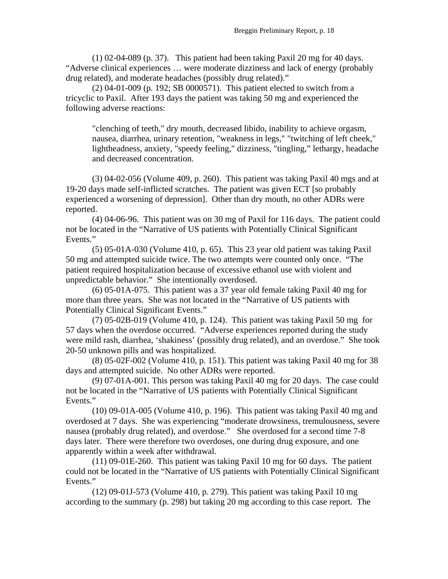(1) 02-04-089 (p. 37). This patient had been taking Paxil 20 mg for 40 days. "Adverse clinical experiences … were moderate dizziness and lack of energy (probably drug related), and moderate headaches (possibly drug related)."

 (2) 04-01-009 (p. 192; SB 0000571). This patient elected to switch from a tricyclic to Paxil. After 193 days the patient was taking 50 mg and experienced the following adverse reactions:

"clenching of teeth," dry mouth, decreased libido, inability to achieve orgasm, nausea, diarrhea, urinary retention, "weakness in legs," "twitching of left cheek," lightheadness, anxiety, "speedy feeling," dizziness, "tingling," lethargy, headache and decreased concentration.

 (3) 04-02-056 (Volume 409, p. 260). This patient was taking Paxil 40 mgs and at 19-20 days made self-inflicted scratches. The patient was given ECT [so probably experienced a worsening of depression]. Other than dry mouth, no other ADRs were reported.

 (4) 04-06-96. This patient was on 30 mg of Paxil for 116 days. The patient could not be located in the "Narrative of US patients with Potentially Clinical Significant Events."

 (5) 05-01A-030 (Volume 410, p. 65). This 23 year old patient was taking Paxil 50 mg and attempted suicide twice. The two attempts were counted only once. "The patient required hospitalization because of excessive ethanol use with violent and unpredictable behavior." She intentionally overdosed.

 (6) 05-01A-075. This patient was a 37 year old female taking Paxil 40 mg for more than three years. She was not located in the "Narrative of US patients with Potentially Clinical Significant Events."

 (7) 05-02B-019 (Volume 410, p. 124). This patient was taking Paxil 50 mg for 57 days when the overdose occurred. "Adverse experiences reported during the study were mild rash, diarrhea, 'shakiness' (possibly drug related), and an overdose." She took 20-50 unknown pills and was hospitalized.

 (8) 05-02F-002 (Volume 410, p. 151). This patient was taking Paxil 40 mg for 38 days and attempted suicide. No other ADRs were reported.

 (9) 07-01A-001. This person was taking Paxil 40 mg for 20 days. The case could not be located in the "Narrative of US patients with Potentially Clinical Significant Events."

 (10) 09-01A-005 (Volume 410, p. 196). This patient was taking Paxil 40 mg and overdosed at 7 days. She was experiencing "moderate drowsiness, tremulousness, severe nausea (probably drug related), and overdose." She overdosed for a second time 7-8 days later. There were therefore two overdoses, one during drug exposure, and one apparently within a week after withdrawal.

 (11) 09-01E-260. This patient was taking Paxil 10 mg for 60 days. The patient could not be located in the "Narrative of US patients with Potentially Clinical Significant Events."

 (12) 09-01J-573 (Volume 410, p. 279). This patient was taking Paxil 10 mg according to the summary (p. 298) but taking 20 mg according to this case report. The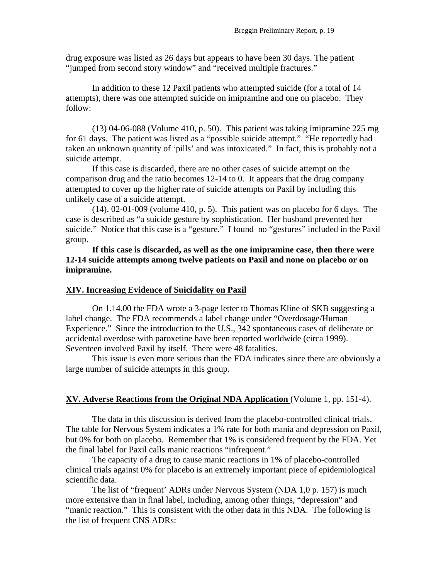drug exposure was listed as 26 days but appears to have been 30 days. The patient "jumped from second story window" and "received multiple fractures."

In addition to these 12 Paxil patients who attempted suicide (for a total of 14 attempts), there was one attempted suicide on imipramine and one on placebo. They follow:

(13) 04-06-088 (Volume 410, p. 50). This patient was taking imipramine 225 mg for 61 days. The patient was listed as a "possible suicide attempt." "He reportedly had taken an unknown quantity of 'pills' and was intoxicated." In fact, this is probably not a suicide attempt.

If this case is discarded, there are no other cases of suicide attempt on the comparison drug and the ratio becomes 12-14 to 0. It appears that the drug company attempted to cover up the higher rate of suicide attempts on Paxil by including this unlikely case of a suicide attempt.

 (14). 02-01-009 (volume 410, p. 5). This patient was on placebo for 6 days. The case is described as "a suicide gesture by sophistication. Her husband prevented her suicide." Notice that this case is a "gesture." I found no "gestures" included in the Paxil group.

**If this case is discarded, as well as the one imipramine case, then there were 12-14 suicide attempts among twelve patients on Paxil and none on placebo or on imipramine.** 

## **XIV. Increasing Evidence of Suicidality on Paxil**

On 1.14.00 the FDA wrote a 3-page letter to Thomas Kline of SKB suggesting a label change. The FDA recommends a label change under "Overdosage/Human Experience." Since the introduction to the U.S., 342 spontaneous cases of deliberate or accidental overdose with paroxetine have been reported worldwide (circa 1999). Seventeen involved Paxil by itself. There were 48 fatalities.

This issue is even more serious than the FDA indicates since there are obviously a large number of suicide attempts in this group.

## **XV. Adverse Reactions from the Original NDA Application** (Volume 1, pp. 151-4).

 The data in this discussion is derived from the placebo-controlled clinical trials. The table for Nervous System indicates a 1% rate for both mania and depression on Paxil, but 0% for both on placebo. Remember that 1% is considered frequent by the FDA. Yet the final label for Paxil calls manic reactions "infrequent."

 The capacity of a drug to cause manic reactions in 1% of placebo-controlled clinical trials against 0% for placebo is an extremely important piece of epidemiological scientific data.

 The list of "frequent' ADRs under Nervous System (NDA 1,0 p. 157) is much more extensive than in final label, including, among other things, "depression" and "manic reaction." This is consistent with the other data in this NDA. The following is the list of frequent CNS ADRs: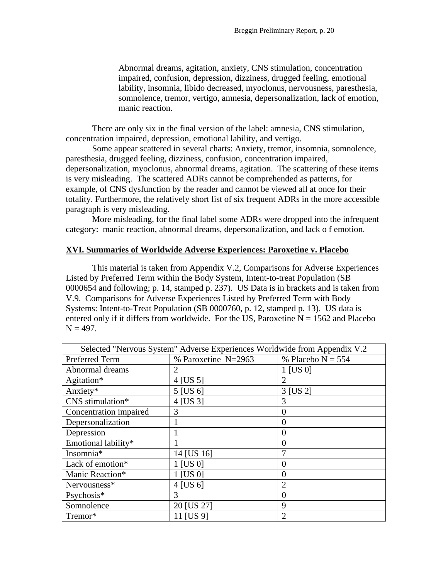Abnormal dreams, agitation, anxiety, CNS stimulation, concentration impaired, confusion, depression, dizziness, drugged feeling, emotional lability, insomnia, libido decreased, myoclonus, nervousness, paresthesia, somnolence, tremor, vertigo, amnesia, depersonalization, lack of emotion, manic reaction.

 There are only six in the final version of the label: amnesia, CNS stimulation, concentration impaired, depression, emotional lability, and vertigo.

Some appear scattered in several charts: Anxiety, tremor, insomnia, somnolence, paresthesia, drugged feeling, dizziness, confusion, concentration impaired, depersonalization, myoclonus, abnormal dreams, agitation. The scattering of these items is very misleading. The scattered ADRs cannot be comprehended as patterns, for example, of CNS dysfunction by the reader and cannot be viewed all at once for their totality. Furthermore, the relatively short list of six frequent ADRs in the more accessible paragraph is very misleading.

More misleading, for the final label some ADRs were dropped into the infrequent category: manic reaction, abnormal dreams, depersonalization, and lack o f emotion.

#### **XVI. Summaries of Worldwide Adverse Experiences: Paroxetine v. Placebo**

 This material is taken from Appendix V.2, Comparisons for Adverse Experiences Listed by Preferred Term within the Body System, Intent-to-treat Population (SB 0000654 and following; p. 14, stamped p. 237). US Data is in brackets and is taken from V.9. Comparisons for Adverse Experiences Listed by Preferred Term with Body Systems: Intent-to-Treat Population (SB 0000760, p. 12, stamped p. 13). US data is entered only if it differs from worldwide. For the US, Paroxetine  $N = 1562$  and Placebo  $N = 497$ .

| Selected "Nervous System" Adverse Experiences Worldwide from Appendix V.2 |                     |                             |  |  |
|---------------------------------------------------------------------------|---------------------|-----------------------------|--|--|
| Preferred Term                                                            | % Paroxetine N=2963 | % Placebo $N = 554$         |  |  |
| Abnormal dreams                                                           | 2                   | 1 [US 0]                    |  |  |
| Agitation*                                                                | $4$ [US 5]          | 2                           |  |  |
| Anxiety*                                                                  | 5 [US 6]            | 3 [US 2]                    |  |  |
| CNS stimulation*                                                          | 4 [US 3]            | 3                           |  |  |
| Concentration impaired                                                    | 3                   | 0                           |  |  |
| Depersonalization                                                         |                     | ( )                         |  |  |
| Depression                                                                |                     | 0                           |  |  |
| Emotional lability*                                                       |                     | 0                           |  |  |
| Insomnia*                                                                 | 14 [US 16]          | 7                           |  |  |
| Lack of emotion*                                                          | 1 [US 0]            | 0                           |  |  |
| Manic Reaction*                                                           | 1 [US 0]            | ( )                         |  |  |
| Nervousness*                                                              | 4 [US 6]            | $\mathcal{D}_{\mathcal{A}}$ |  |  |
| Psychosis*                                                                | 3                   | $\theta$                    |  |  |
| Somnolence                                                                | 20 [US 27]          | 9                           |  |  |
| Tremor*                                                                   | 11 [US 9]           | $\mathcal{D}_{\mathcal{L}}$ |  |  |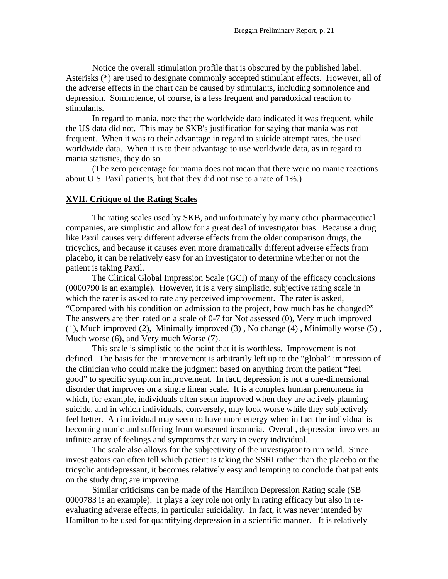Notice the overall stimulation profile that is obscured by the published label. Asterisks (\*) are used to designate commonly accepted stimulant effects. However, all of the adverse effects in the chart can be caused by stimulants, including somnolence and depression. Somnolence, of course, is a less frequent and paradoxical reaction to stimulants.

In regard to mania, note that the worldwide data indicated it was frequent, while the US data did not. This may be SKB's justification for saying that mania was not frequent. When it was to their advantage in regard to suicide attempt rates, the used worldwide data. When it is to their advantage to use worldwide data, as in regard to mania statistics, they do so.

(The zero percentage for mania does not mean that there were no manic reactions about U.S. Paxil patients, but that they did not rise to a rate of 1%.)

#### **XVII. Critique of the Rating Scales**

The rating scales used by SKB, and unfortunately by many other pharmaceutical companies, are simplistic and allow for a great deal of investigator bias. Because a drug like Paxil causes very different adverse effects from the older comparison drugs, the tricyclics, and because it causes even more dramatically different adverse effects from placebo, it can be relatively easy for an investigator to determine whether or not the patient is taking Paxil.

The Clinical Global Impression Scale (GCI) of many of the efficacy conclusions (0000790 is an example). However, it is a very simplistic, subjective rating scale in which the rater is asked to rate any perceived improvement. The rater is asked, "Compared with his condition on admission to the project, how much has he changed?" The answers are then rated on a scale of 0-7 for Not assessed (0), Very much improved (1), Much improved (2), Minimally improved (3) , No change (4) , Minimally worse (5) , Much worse (6), and Very much Worse (7).

 This scale is simplistic to the point that it is worthless. Improvement is not defined. The basis for the improvement is arbitrarily left up to the "global" impression of the clinician who could make the judgment based on anything from the patient "feel good" to specific symptom improvement. In fact, depression is not a one-dimensional disorder that improves on a single linear scale. It is a complex human phenomena in which, for example, individuals often seem improved when they are actively planning suicide, and in which individuals, conversely, may look worse while they subjectively feel better. An individual may seem to have more energy when in fact the individual is becoming manic and suffering from worsened insomnia. Overall, depression involves an infinite array of feelings and symptoms that vary in every individual.

 The scale also allows for the subjectivity of the investigator to run wild. Since investigators can often tell which patient is taking the SSRI rather than the placebo or the tricyclic antidepressant, it becomes relatively easy and tempting to conclude that patients on the study drug are improving.

 Similar criticisms can be made of the Hamilton Depression Rating scale (SB 0000783 is an example). It plays a key role not only in rating efficacy but also in reevaluating adverse effects, in particular suicidality. In fact, it was never intended by Hamilton to be used for quantifying depression in a scientific manner. It is relatively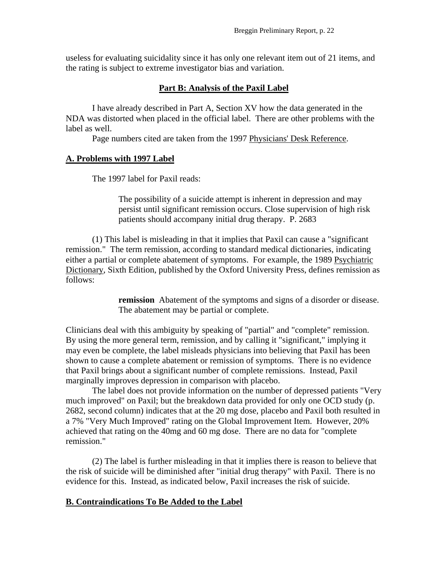useless for evaluating suicidality since it has only one relevant item out of 21 items, and the rating is subject to extreme investigator bias and variation.

## **Part B: Analysis of the Paxil Label**

 I have already described in Part A, Section XV how the data generated in the NDA was distorted when placed in the official label. There are other problems with the label as well.

Page numbers cited are taken from the 1997 Physicians' Desk Reference.

### **A. Problems with 1997 Label**

The 1997 label for Paxil reads:

The possibility of a suicide attempt is inherent in depression and may persist until significant remission occurs. Close supervision of high risk patients should accompany initial drug therapy. P. 2683

 (1) This label is misleading in that it implies that Paxil can cause a "significant remission." The term remission, according to standard medical dictionaries, indicating either a partial or complete abatement of symptoms. For example, the 1989 Psychiatric Dictionary, Sixth Edition, published by the Oxford University Press, defines remission as follows:

> **remission** Abatement of the symptoms and signs of a disorder or disease. The abatement may be partial or complete.

Clinicians deal with this ambiguity by speaking of "partial" and "complete" remission. By using the more general term, remission, and by calling it "significant," implying it may even be complete, the label misleads physicians into believing that Paxil has been shown to cause a complete abatement or remission of symptoms. There is no evidence that Paxil brings about a significant number of complete remissions. Instead, Paxil marginally improves depression in comparison with placebo.

 The label does not provide information on the number of depressed patients "Very much improved" on Paxil; but the breakdown data provided for only one OCD study (p. 2682, second column) indicates that at the 20 mg dose, placebo and Paxil both resulted in a 7% "Very Much Improved" rating on the Global Improvement Item. However, 20% achieved that rating on the 40mg and 60 mg dose. There are no data for "complete remission."

 (2) The label is further misleading in that it implies there is reason to believe that the risk of suicide will be diminished after "initial drug therapy" with Paxil. There is no evidence for this. Instead, as indicated below, Paxil increases the risk of suicide.

## **B. Contraindications To Be Added to the Label**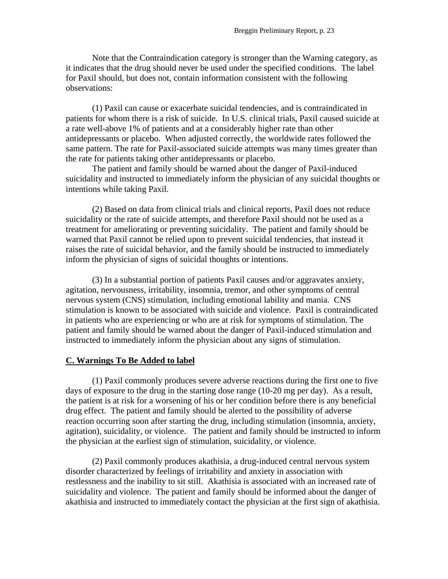Note that the Contraindication category is stronger than the Warning category, as it indicates that the drug should never be used under the specified conditions. The label for Paxil should, but does not, contain information consistent with the following observations:

(1) Paxil can cause or exacerbate suicidal tendencies, and is contraindicated in patients for whom there is a risk of suicide. In U.S. clinical trials, Paxil caused suicide at a rate well-above 1% of patients and at a considerably higher rate than other antidepressants or placebo. When adjusted correctly, the worldwide rates followed the same pattern. The rate for Paxil-associated suicide attempts was many times greater than the rate for patients taking other antidepressants or placebo.

The patient and family should be warned about the danger of Paxil-induced suicidality and instructed to immediately inform the physician of any suicidal thoughts or intentions while taking Paxil.

(2) Based on data from clinical trials and clinical reports, Paxil does not reduce suicidality or the rate of suicide attempts, and therefore Paxil should not be used as a treatment for ameliorating or preventing suicidality. The patient and family should be warned that Paxil cannot be relied upon to prevent suicidal tendencies, that instead it raises the rate of suicidal behavior, and the family should be instructed to immediately inform the physician of signs of suicidal thoughts or intentions.

(3) In a substantial portion of patients Paxil causes and/or aggravates anxiety, agitation, nervousness, irritability, insomnia, tremor, and other symptoms of central nervous system (CNS) stimulation, including emotional lability and mania. CNS stimulation is known to be associated with suicide and violence. Paxil is contraindicated in patients who are experiencing or who are at risk for symptoms of stimulation. The patient and family should be warned about the danger of Paxil-induced stimulation and instructed to immediately inform the physician about any signs of stimulation.

#### **C. Warnings To Be Added to label**

(1) Paxil commonly produces severe adverse reactions during the first one to five days of exposure to the drug in the starting dose range (10-20 mg per day). As a result, the patient is at risk for a worsening of his or her condition before there is any beneficial drug effect. The patient and family should be alerted to the possibility of adverse reaction occurring soon after starting the drug, including stimulation (insomnia, anxiety, agitation), suicidality, or violence. The patient and family should be instructed to inform the physician at the earliest sign of stimulation, suicidality, or violence.

(2) Paxil commonly produces akathisia, a drug-induced central nervous system disorder characterized by feelings of irritability and anxiety in association with restlessness and the inability to sit still. Akathisia is associated with an increased rate of suicidality and violence. The patient and family should be informed about the danger of akathisia and instructed to immediately contact the physician at the first sign of akathisia.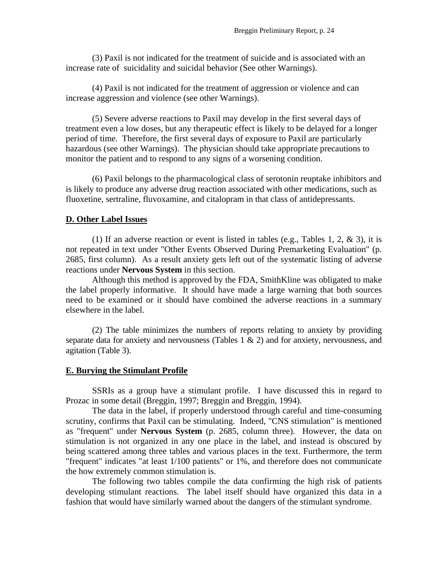(3) Paxil is not indicated for the treatment of suicide and is associated with an increase rate of suicidality and suicidal behavior (See other Warnings).

(4) Paxil is not indicated for the treatment of aggression or violence and can increase aggression and violence (see other Warnings).

(5) Severe adverse reactions to Paxil may develop in the first several days of treatment even a low doses, but any therapeutic effect is likely to be delayed for a longer period of time. Therefore, the first several days of exposure to Paxil are particularly hazardous (see other Warnings). The physician should take appropriate precautions to monitor the patient and to respond to any signs of a worsening condition.

(6) Paxil belongs to the pharmacological class of serotonin reuptake inhibitors and is likely to produce any adverse drug reaction associated with other medications, such as fluoxetine, sertraline, fluvoxamine, and citalopram in that class of antidepressants.

#### **D. Other Label Issues**

(1) If an adverse reaction or event is listed in tables (e.g., Tables 1, 2, & 3), it is not repeated in text under "Other Events Observed During Premarketing Evaluation" (p. 2685, first column). As a result anxiety gets left out of the systematic listing of adverse reactions under **Nervous System** in this section.

 Although this method is approved by the FDA, SmithKline was obligated to make the label properly informative. It should have made a large warning that both sources need to be examined or it should have combined the adverse reactions in a summary elsewhere in the label.

 (2) The table minimizes the numbers of reports relating to anxiety by providing separate data for anxiety and nervousness (Tables 1 & 2) and for anxiety, nervousness, and agitation (Table 3).

#### **E. Burying the Stimulant Profile**

 SSRIs as a group have a stimulant profile. I have discussed this in regard to Prozac in some detail (Breggin, 1997; Breggin and Breggin, 1994).

 The data in the label, if properly understood through careful and time-consuming scrutiny, confirms that Paxil can be stimulating. Indeed, "CNS stimulation" is mentioned as "frequent" under **Nervous System** (p. 2685, column three). However, the data on stimulation is not organized in any one place in the label, and instead is obscured by being scattered among three tables and various places in the text. Furthermore, the term "frequent" indicates "at least 1/100 patients" or 1%, and therefore does not communicate the how extremely common stimulation is.

 The following two tables compile the data confirming the high risk of patients developing stimulant reactions. The label itself should have organized this data in a fashion that would have similarly warned about the dangers of the stimulant syndrome.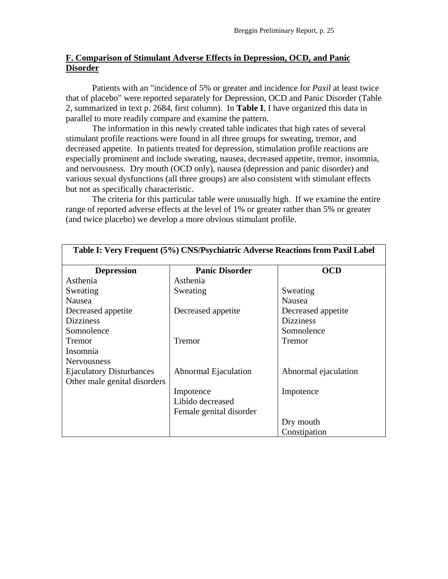## **F. Comparison of Stimulant Adverse Effects in Depression, OCD, and Panic Disorder**

 Patients with an "incidence of 5% or greater and incidence for *Paxil* at least twice that of placebo" were reported separately for Depression, OCD and Panic Disorder (Table 2, summarized in text p. 2684, first column). In **Table I**, I have organized this data in parallel to more readily compare and examine the pattern.

The information in this newly created table indicates that high rates of several stimulant profile reactions were found in all three groups for sweating, tremor, and decreased appetite. In patients treated for depression, stimulation profile reactions are especially prominent and include sweating, nausea, decreased appetite, tremor, insomnia, and nervousness. Dry mouth (OCD only), nausea (depression and panic disorder) and various sexual dysfunctions (all three groups) are also consistent with stimulant effects but not as specifically characteristic.

 The criteria for this particular table were unusually high. If we examine the entire range of reported adverse effects at the level of 1% or greater rather than 5% or greater (and twice placebo) we develop a more obvious stimulant profile.

| Table I: Very Frequent (5%) CNS/Psychiatric Adverse Reactions from Paxil Label |                             |                      |  |  |
|--------------------------------------------------------------------------------|-----------------------------|----------------------|--|--|
| <b>Depression</b>                                                              | <b>Panic Disorder</b>       | <b>OCD</b>           |  |  |
| Asthenia                                                                       | Asthenia                    |                      |  |  |
| Sweating                                                                       | Sweating                    | Sweating             |  |  |
| Nausea                                                                         |                             | Nausea               |  |  |
| Decreased appetite                                                             | Decreased appetite          | Decreased appetite   |  |  |
| <b>Dizziness</b>                                                               |                             | <b>Dizziness</b>     |  |  |
| Somnolence                                                                     |                             | Somnolence           |  |  |
| Tremor                                                                         | Tremor                      | Tremor               |  |  |
| Insomnia                                                                       |                             |                      |  |  |
| <b>Nervousness</b>                                                             |                             |                      |  |  |
| <b>Ejaculatory Disturbances</b>                                                | <b>Abnormal Ejaculation</b> | Abnormal ejaculation |  |  |
| Other male genital disorders                                                   |                             |                      |  |  |
|                                                                                | Impotence                   | Impotence            |  |  |
|                                                                                | Libido decreased            |                      |  |  |
|                                                                                | Female genital disorder     |                      |  |  |
|                                                                                |                             | Dry mouth            |  |  |
|                                                                                |                             | Constipation         |  |  |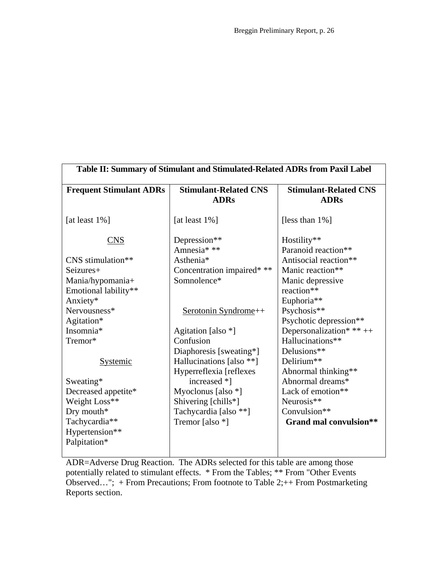| Table II: Summary of Stimulant and Stimulated-Related ADRs from Paxil Label |                                                     |                                              |  |  |
|-----------------------------------------------------------------------------|-----------------------------------------------------|----------------------------------------------|--|--|
| <b>Frequent Stimulant ADRs</b>                                              | <b>Stimulant-Related CNS</b><br><b>ADRs</b>         | <b>Stimulant-Related CNS</b><br><b>ADRs</b>  |  |  |
| [at least $1\%$ ]                                                           | [at least $1\%$ ]                                   | [less than 1%]                               |  |  |
| <b>CNS</b>                                                                  | Depression**<br>Amnesia***                          | Hostility**<br>Paranoid reaction**           |  |  |
| CNS stimulation**                                                           | Asthenia*                                           | Antisocial reaction**                        |  |  |
| Seizures+<br>Mania/hypomania+                                               | Concentration impaired* **<br>Somnolence*           | Manic reaction**<br>Manic depressive         |  |  |
| Emotional lability**<br>Anxiety*                                            |                                                     | reaction**<br>Euphoria**                     |  |  |
| Nervousness*<br>Agitation*                                                  | Serotonin Syndrome++                                | Psychosis**<br>Psychotic depression**        |  |  |
| Insomnia*<br>Tremor*                                                        | Agitation [also *]<br>Confusion                     | Depersonalization* ** ++<br>Hallucinations** |  |  |
| <b>Systemic</b>                                                             | Diaphoresis [sweating*]<br>Hallucinations [also **] | Delusions**<br>Delirium**                    |  |  |
|                                                                             | Hyperreflexia [reflexes<br>increased *]             | Abnormal thinking**<br>Abnormal dreams*      |  |  |
| Sweating*<br>Decreased appetite*                                            | Myoclonus [also $*$ ]                               | Lack of emotion**                            |  |  |
| Weight Loss**<br>Dry mouth*                                                 | Shivering [chills*]<br>Tachycardia [also **]        | Neurosis**<br>Convulsion**                   |  |  |
| Tachycardia**<br>Hypertension**<br>Palpitation*                             | Tremor [also *]                                     | Grand mal convulsion**                       |  |  |
|                                                                             |                                                     |                                              |  |  |

ADR=Adverse Drug Reaction. The ADRs selected for this table are among those potentially related to stimulant effects. \* From the Tables; \*\* From "Other Events Observed..."; + From Precautions; From footnote to Table 2; + + From Postmarketing Reports section.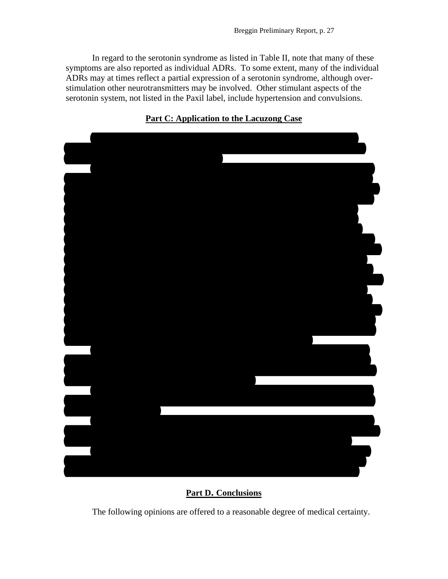In regard to the serotonin syndrome as listed in Table II, note that many of these symptoms are also reported as individual ADRs. To some extent, many of the individual ADRs may at times reflect a partial expression of a serotonin syndrome, although overstimulation other neurotransmitters may be involved. Other stimulant aspects of the serotonin system, not listed in the Paxil label, include hypertension and convulsions.

## induced CNS stimulation and akathisia on April 29, 1997 before his death, as well as from some degree of underlying depression. The deposition testimony of his co-worker Joel Torres who personally observed Mr. Lacuzong was consistent with akathisia and features of mania. Mr. Torres worked next to Mr. Lacuzong, and his description of Reynaldo's actions on 4.29.97 demonstrates Paxil's stimulating effect on him. Mr. Torres testified that Mr. Lacuzong on the day of his death "seemed restless" P45 L21; P60 L10; P61 L7) indicating some degree of akathisia. Mr. Torres noticed several other actions and/or made other observations consistent with overt stimulation: "his actions were not good" (P38 L8); "he seemed angry " (P38 L10); "he would be changing constantly " (P38 L17); "sometimes he would be would be would be would be angry; sometimes he would be good" (P38 L19); "but when I looked at him, he looked angry" (P39 L1); "you know, his eyes were flashing" (P39 L9); "flashing sharp" (P39 L11); "he seemed angry and that he—you know, this sharpness of his eyes" (P43 L13); he looked angry "in his eyes and in his action" (P44 L19); "his movements were different, his eyes, and then it would change until we ate our lunch" (P45 L15); his eyes looked  $s$ harper" (P45 L24); his looks "would be changing" (P46 L8); they were changing "by were changing "by were changing "by the hour" (P46 L11); Mr. Lacuzong appeared "listless" (P47 L22); "he didn't seem like he wanted to work" (P48 L2); "his face—I was also scared because of his face—I was also scared because of his face, you know, to keep on changing" (P53 L17); "I was somewhat afraid" (P53 L21). He also behaved oddly, throwing away equipment that was supposed to be kept (P 51). Co-worker Imelda Encarnacion's deposition indicates that Mr. Lacuzong acted strangely on 4.28.97 and 4.29.97 in that he was "spaced out" and "spacey" (e.g., p. 30) two days before his death and that that a co-worker told her he was behaving peculiarly, throwing things away, on the day of his death (p. 63). The young girl, Meagan Bermudez, also observed Mr. Lacuzong just before the tragic event. Her description of Mr. Lacuzong's demeanor is consistent with significant changes in his personality. Mrs. Lacuzong's testimony that her husband reported at 5:00 p.m. (4.29.97) that he could not assist with the daughter's homework that day because it was too difficult—a first time event—further suggests that Reynaldo was in an impaired mental state. Mr. Lacuzong at the least displayed "irritability" which is sufficient, as already described, for a diagnosis of Substance-Induced Mood Disorder with Manic Features according to the Diagnostic and Statistical Manual of Mental Disorders, IV (1994).

## **Part C: Application to the Lacuzong Case**

**Part D. Conclusions**

The following opinions are offered to a reasonable degree of medical certainty.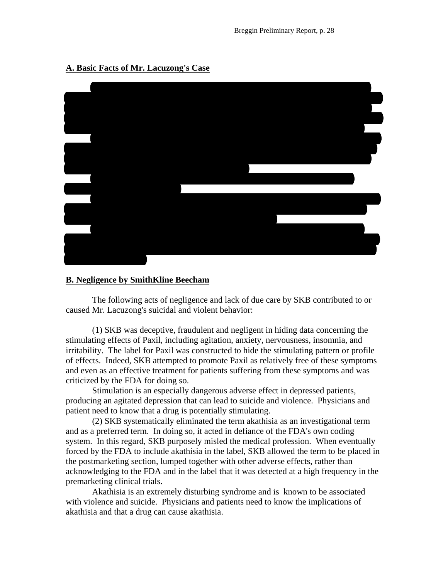

## **A. Basic Facts of Mr. Lacuzong's Case**

### **B. Negligence by SmithKline Beecham**

The following acts of negligence and lack of due care by SKB contributed to or caused Mr. Lacuzong's suicidal and violent behavior:

(1) SKB was deceptive, fraudulent and negligent in hiding data concerning the stimulating effects of Paxil, including agitation, anxiety, nervousness, insomnia, and irritability. The label for Paxil was constructed to hide the stimulating pattern or profile of effects. Indeed, SKB attempted to promote Paxil as relatively free of these symptoms and even as an effective treatment for patients suffering from these symptoms and was criticized by the FDA for doing so.

Stimulation is an especially dangerous adverse effect in depressed patients, producing an agitated depression that can lead to suicide and violence. Physicians and patient need to know that a drug is potentially stimulating.

(2) SKB systematically eliminated the term akathisia as an investigational term and as a preferred term. In doing so, it acted in defiance of the FDA's own coding system. In this regard, SKB purposely misled the medical profession. When eventually forced by the FDA to include akathisia in the label, SKB allowed the term to be placed in the postmarketing section, lumped together with other adverse effects, rather than acknowledging to the FDA and in the label that it was detected at a high frequency in the premarketing clinical trials.

Akathisia is an extremely disturbing syndrome and is known to be associated with violence and suicide. Physicians and patients need to know the implications of akathisia and that a drug can cause akathisia.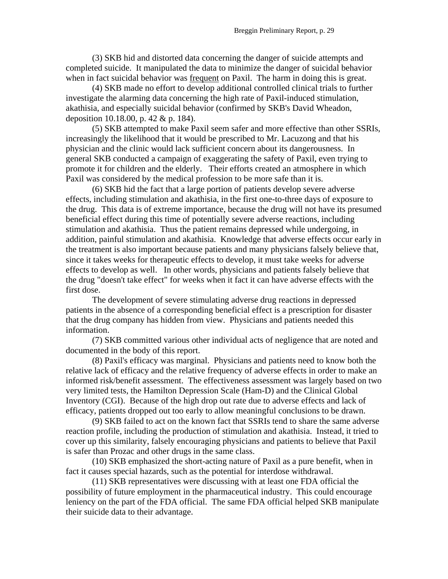(3) SKB hid and distorted data concerning the danger of suicide attempts and completed suicide. It manipulated the data to minimize the danger of suicidal behavior when in fact suicidal behavior was frequent on Paxil. The harm in doing this is great.

(4) SKB made no effort to develop additional controlled clinical trials to further investigate the alarming data concerning the high rate of Paxil-induced stimulation, akathisia, and especially suicidal behavior (confirmed by SKB's David Wheadon, deposition 10.18.00, p. 42 & p. 184).

(5) SKB attempted to make Paxil seem safer and more effective than other SSRIs, increasingly the likelihood that it would be prescribed to Mr. Lacuzong and that his physician and the clinic would lack sufficient concern about its dangerousness. In general SKB conducted a campaign of exaggerating the safety of Paxil, even trying to promote it for children and the elderly. Their efforts created an atmosphere in which Paxil was considered by the medical profession to be more safe than it is.

(6) SKB hid the fact that a large portion of patients develop severe adverse effects, including stimulation and akathisia, in the first one-to-three days of exposure to the drug. This data is of extreme importance, because the drug will not have its presumed beneficial effect during this time of potentially severe adverse reactions, including stimulation and akathisia. Thus the patient remains depressed while undergoing, in addition, painful stimulation and akathisia. Knowledge that adverse effects occur early in the treatment is also important because patients and many physicians falsely believe that, since it takes weeks for therapeutic effects to develop, it must take weeks for adverse effects to develop as well. In other words, physicians and patients falsely believe that the drug "doesn't take effect" for weeks when it fact it can have adverse effects with the first dose.

The development of severe stimulating adverse drug reactions in depressed patients in the absence of a corresponding beneficial effect is a prescription for disaster that the drug company has hidden from view. Physicians and patients needed this information.

(7) SKB committed various other individual acts of negligence that are noted and documented in the body of this report.

(8) Paxil's efficacy was marginal. Physicians and patients need to know both the relative lack of efficacy and the relative frequency of adverse effects in order to make an informed risk/benefit assessment. The effectiveness assessment was largely based on two very limited tests, the Hamilton Depression Scale (Ham-D) and the Clinical Global Inventory (CGI). Because of the high drop out rate due to adverse effects and lack of efficacy, patients dropped out too early to allow meaningful conclusions to be drawn.

(9) SKB failed to act on the known fact that SSRIs tend to share the same adverse reaction profile, including the production of stimulation and akathisia. Instead, it tried to cover up this similarity, falsely encouraging physicians and patients to believe that Paxil is safer than Prozac and other drugs in the same class.

(10) SKB emphasized the short-acting nature of Paxil as a pure benefit, when in fact it causes special hazards, such as the potential for interdose withdrawal.

(11) SKB representatives were discussing with at least one FDA official the possibility of future employment in the pharmaceutical industry. This could encourage leniency on the part of the FDA official. The same FDA official helped SKB manipulate their suicide data to their advantage.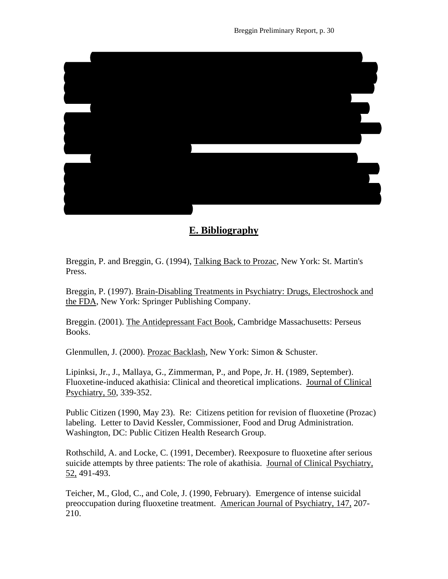

# **E. Bibliography**

Breggin, P. and Breggin, G. (1994), Talking Back to Prozac, New York: St. Martin's Press.

Breggin, P. (1997). Brain-Disabling Treatments in Psychiatry: Drugs, Electroshock and the FDA, New York: Springer Publishing Company.

Breggin. (2001). The Antidepressant Fact Book, Cambridge Massachusetts: Perseus Books.

Glenmullen, J. (2000). Prozac Backlash, New York: Simon & Schuster.

Lipinksi, Jr., J., Mallaya, G., Zimmerman, P., and Pope, Jr. H. (1989, September). Fluoxetine-induced akathisia: Clinical and theoretical implications. Journal of Clinical Psychiatry, 50, 339-352.

Public Citizen (1990, May 23). Re: Citizens petition for revision of fluoxetine (Prozac) labeling. Letter to David Kessler, Commissioner, Food and Drug Administration. Washington, DC: Public Citizen Health Research Group.

Rothschild, A. and Locke, C. (1991, December). Reexposure to fluoxetine after serious suicide attempts by three patients: The role of akathisia. Journal of Clinical Psychiatry, 52, 491-493.

Teicher, M., Glod, C., and Cole, J. (1990, February). Emergence of intense suicidal preoccupation during fluoxetine treatment. American Journal of Psychiatry, 147, 207- 210.